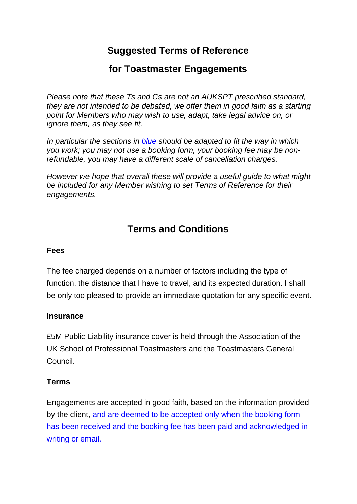## **Suggested Terms of Reference**

## **for Toastmaster Engagements**

*Please note that these Ts and Cs are not an AUKSPT prescribed standard, they are not intended to be debated, we offer them in good faith as a starting point for Members who may wish to use, adapt, take legal advice on, or ignore them, as they see fit.* 

*In particular the sections in blue should be adapted to fit the way in which you work; you may not use a booking form, your booking fee may be nonrefundable, you may have a different scale of cancellation charges.* 

*However we hope that overall these will provide a useful guide to what might be included for any Member wishing to set Terms of Reference for their engagements.* 

# **Terms and Conditions**

#### **Fees**

The fee charged depends on a number of factors including the type of function, the distance that I have to travel, and its expected duration. I shall be only too pleased to provide an immediate quotation for any specific event.

### **Insurance**

£5M Public Liability insurance cover is held through the Association of the UK School of Professional Toastmasters and the Toastmasters General Council.

### **Terms**

Engagements are accepted in good faith, based on the information provided by the client, and are deemed to be accepted only when the booking form has been received and the booking fee has been paid and acknowledged in writing or email.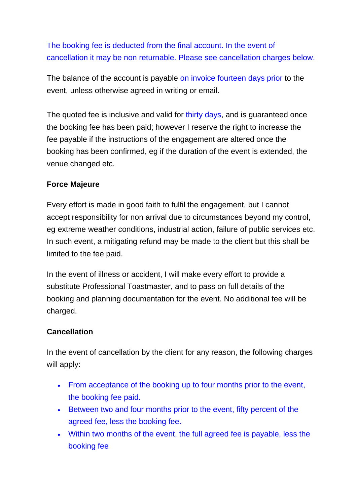### The booking fee is deducted from the final account. In the event of cancellation it may be non returnable. Please see cancellation charges below.

The balance of the account is payable on invoice fourteen days prior to the event, unless otherwise agreed in writing or email.

The quoted fee is inclusive and valid for thirty days, and is quaranteed once the booking fee has been paid; however I reserve the right to increase the fee payable if the instructions of the engagement are altered once the booking has been confirmed, eg if the duration of the event is extended, the venue changed etc.

### **Force Majeure**

Every effort is made in good faith to fulfil the engagement, but I cannot accept responsibility for non arrival due to circumstances beyond my control, eg extreme weather conditions, industrial action, failure of public services etc. In such event, a mitigating refund may be made to the client but this shall be limited to the fee paid.

In the event of illness or accident, I will make every effort to provide a substitute Professional Toastmaster, and to pass on full details of the booking and planning documentation for the event. No additional fee will be charged.

#### **Cancellation**

In the event of cancellation by the client for any reason, the following charges will apply:

- From acceptance of the booking up to four months prior to the event, the booking fee paid.
- Between two and four months prior to the event, fifty percent of the agreed fee, less the booking fee.
- Within two months of the event, the full agreed fee is payable, less the booking fee